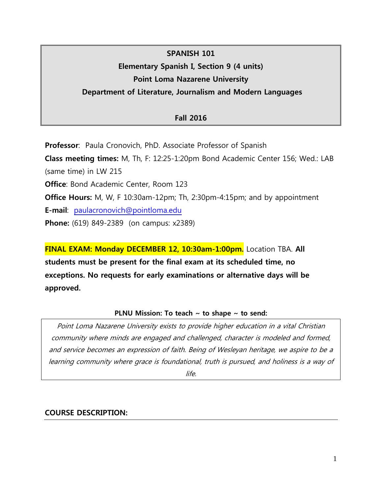# **SPANISH 101 Elementary Spanish I, Section 9 (4 units) Point Loma Nazarene University**

## **Department of Literature, Journalism and Modern Languages**

## **Fall 2016**

**Professor**: Paula Cronovich, PhD. Associate Professor of Spanish **Class meeting times:** M, Th, F: 12:25-1:20pm Bond Academic Center 156; Wed.: LAB (same time) in LW 215 **Office:** Bond Academic Center, Room 123 **Office Hours:** M, W, F 10:30am-12pm; Th, 2:30pm-4:15pm; and by appointment

**E-mail**: [paulacronovich@pointloma.edu](mailto:paulacronovich@pointloma.edu)

**Phone:** (619) 849-2389 (on campus: x2389)

**FINAL EXAM: Monday DECEMBER 12, 10:30am-1:00pm.** Location TBA. **All students must be present for the final exam at its scheduled time, no exceptions. No requests for early examinations or alternative days will be approved.**

#### **PLNU Mission: To teach ~ to shape ~ to send:**

Point Loma Nazarene University exists to provide higher education in a vital Christian community where minds are engaged and challenged, character is modeled and formed, and service becomes an expression of faith. Being of Wesleyan heritage, we aspire to be a learning community where grace is foundational, truth is pursued, and holiness is a way of

life.

## **COURSE DESCRIPTION:**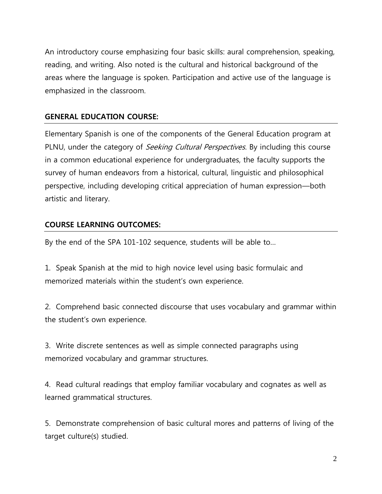An introductory course emphasizing four basic skills: aural comprehension, speaking, reading, and writing. Also noted is the cultural and historical background of the areas where the language is spoken. Participation and active use of the language is emphasized in the classroom.

# **GENERAL EDUCATION COURSE:**

Elementary Spanish is one of the components of the General Education program at PLNU, under the category of *Seeking Cultural Perspectives*. By including this course in a common educational experience for undergraduates, the faculty supports the survey of human endeavors from a historical, cultural, linguistic and philosophical perspective, including developing critical appreciation of human expression—both artistic and literary.

## **COURSE LEARNING OUTCOMES:**

By the end of the SPA 101-102 sequence, students will be able to…

1. Speak Spanish at the mid to high novice level using basic formulaic and memorized materials within the student's own experience.

2. Comprehend basic connected discourse that uses vocabulary and grammar within the student's own experience.

3. Write discrete sentences as well as simple connected paragraphs using memorized vocabulary and grammar structures.

4. Read cultural readings that employ familiar vocabulary and cognates as well as learned grammatical structures.

5. Demonstrate comprehension of basic cultural mores and patterns of living of the target culture(s) studied.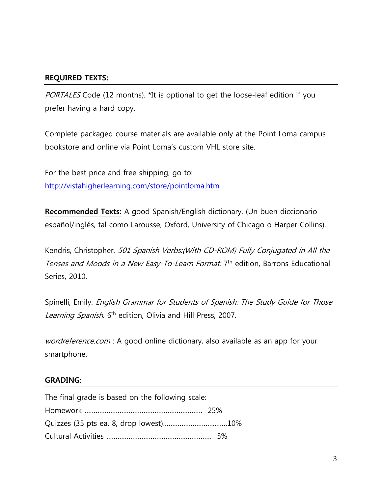## **REQUIRED TEXTS:**

PORTALES Code (12 months). \*It is optional to get the loose-leaf edition if you prefer having a hard copy.

Complete packaged course materials are available only at the Point Loma campus bookstore and online via Point Loma's custom VHL store site.

For the best price and free shipping, go to: <http://vistahigherlearning.com/store/pointloma.htm>

**Recommended Texts:** A good Spanish/English dictionary. (Un buen diccionario español/inglés, tal como Larousse, Oxford, University of Chicago o Harper Collins).

Kendris, Christopher. 501 Spanish Verbs:(With CD-ROM) Fully Conjugated in All the Tenses and Moods in a New Easy-To-Learn Format. 7<sup>th</sup> edition, Barrons Educational Series, 2010.

Spinelli, Emily. English Grammar for Students of Spanish: The Study Guide for Those Learning Spanish. 6<sup>th</sup> edition, Olivia and Hill Press, 2007.

wordreference.com : A good online dictionary, also available as an app for your smartphone.

#### **GRADING:**

| The final grade is based on the following scale: |  |
|--------------------------------------------------|--|
|                                                  |  |
|                                                  |  |
|                                                  |  |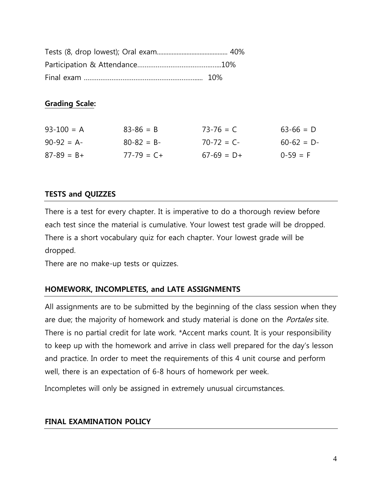#### **Grading Scale:**

| $93 - 100 = A$  | $83 - 86 = B$   | $73 - 76 = C$ | $63-66 = D$ |
|-----------------|-----------------|---------------|-------------|
| $90-92 = A$     | $80 - 82 = B -$ | $70-72 = C$   | $60-62 = D$ |
| $87 - 89 = B +$ | $77 - 79 = C +$ | $67-69 = D+$  | $0-59 = F$  |

## **TESTS and QUIZZES**

There is a test for every chapter. It is imperative to do a thorough review before each test since the material is cumulative. Your lowest test grade will be dropped. There is a short vocabulary quiz for each chapter. Your lowest grade will be dropped.

There are no make-up tests or quizzes.

# **HOMEWORK, INCOMPLETES, and LATE ASSIGNMENTS**

All assignments are to be submitted by the beginning of the class session when they are due; the majority of homework and study material is done on the *Portales* site. There is no partial credit for late work. \*Accent marks count. It is your responsibility to keep up with the homework and arrive in class well prepared for the day's lesson and practice. In order to meet the requirements of this 4 unit course and perform well, there is an expectation of 6-8 hours of homework per week.

Incompletes will only be assigned in extremely unusual circumstances.

## **FINAL EXAMINATION POLICY**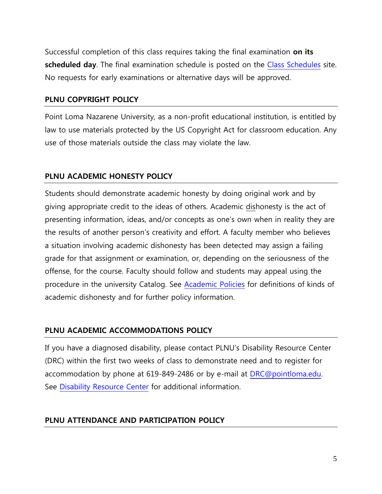Successful completion of this class requires taking the final examination **on its scheduled day**. The final examination schedule is posted on the [Class Schedules](http://www.pointloma.edu/experience/academics/class-schedules) site. No requests for early examinations or alternative days will be approved.

#### **PLNU COPYRIGHT POLICY**

Point Loma Nazarene University, as a non-profit educational institution, is entitled by law to use materials protected by the US Copyright Act for classroom education. Any use of those materials outside the class may violate the law.

## **PLNU ACADEMIC HONESTY POLICY**

Students should demonstrate academic honesty by doing original work and by giving appropriate credit to the ideas of others. Academic dishonesty is the act of presenting information, ideas, and/or concepts as one's own when in reality they are the results of another person's creativity and effort. A faculty member who believes a situation involving academic dishonesty has been detected may assign a failing grade for that assignment or examination, or, depending on the seriousness of the offense, for the course. Faculty should follow and students may appeal using the procedure in the university Catalog. See [Academic Policies](http://catalog.pointloma.edu/content.php?catoid=18&navoid=1278) for definitions of kinds of academic dishonesty and for further policy information.

## **PLNU ACADEMIC ACCOMMODATIONS POLICY**

If you have a diagnosed disability, please contact PLNU's Disability Resource Center (DRC) within the first two weeks of class to demonstrate need and to register for accommodation by phone at 619-849-2486 or by e-mail at [DRC@pointloma.edu.](mailto:DRC@pointloma.edu) See [Disability Resource Center](http://www.pointloma.edu/experience/offices/administrative-offices/academic-advising-office/disability-resource-center) for additional information.

## **PLNU ATTENDANCE AND PARTICIPATION POLICY**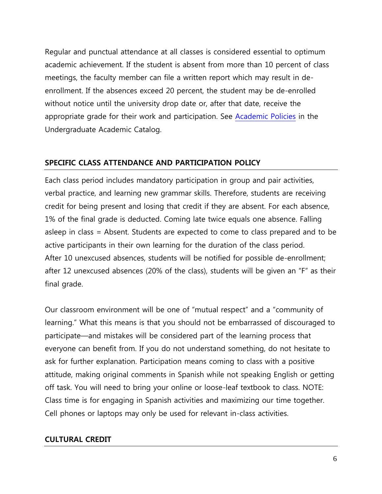Regular and punctual attendance at all classes is considered essential to optimum academic achievement. If the student is absent from more than 10 percent of class meetings, the faculty member can file a written report which may result in deenrollment. If the absences exceed 20 percent, the student may be de-enrolled without notice until the university drop date or, after that date, receive the appropriate grade for their work and participation. See [Academic Policies](http://catalog.pointloma.edu/content.php?catoid=18&navoid=1278) in the Undergraduate Academic Catalog.

## **SPECIFIC CLASS ATTENDANCE AND PARTICIPATION POLICY**

Each class period includes mandatory participation in group and pair activities, verbal practice, and learning new grammar skills. Therefore, students are receiving credit for being present and losing that credit if they are absent. For each absence, 1% of the final grade is deducted. Coming late twice equals one absence. Falling asleep in class = Absent. Students are expected to come to class prepared and to be active participants in their own learning for the duration of the class period. After 10 unexcused absences, students will be notified for possible de-enrollment; after 12 unexcused absences (20% of the class), students will be given an "F" as their final grade.

Our classroom environment will be one of "mutual respect" and a "community of learning." What this means is that you should not be embarrassed of discouraged to participate—and mistakes will be considered part of the learning process that everyone can benefit from. If you do not understand something, do not hesitate to ask for further explanation. Participation means coming to class with a positive attitude, making original comments in Spanish while not speaking English or getting off task. You will need to bring your online or loose-leaf textbook to class. NOTE: Class time is for engaging in Spanish activities and maximizing our time together. Cell phones or laptops may only be used for relevant in-class activities.

#### **CULTURAL CREDIT**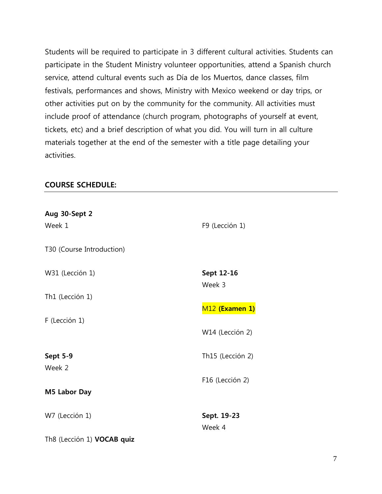Students will be required to participate in 3 different cultural activities. Students can participate in the Student Ministry volunteer opportunities, attend a Spanish church service, attend cultural events such as Día de los Muertos, dance classes, film festivals, performances and shows, Ministry with Mexico weekend or day trips, or other activities put on by the community for the community. All activities must include proof of attendance (church program, photographs of yourself at event, tickets, etc) and a brief description of what you did. You will turn in all culture materials together at the end of the semester with a title page detailing your activities.

#### **COURSE SCHEDULE:**

| Aug 30-Sept 2              |                            |
|----------------------------|----------------------------|
| Week 1                     | F9 (Lección 1)             |
| T30 (Course Introduction)  |                            |
| W31 (Lección 1)            | Sept 12-16<br>Week 3       |
| Th1 (Lección 1)            | M <sub>12</sub> (Examen 1) |
| F (Lección 1)              |                            |
|                            | W14 (Lección 2)            |
| <b>Sept 5-9</b>            | Th15 (Lección 2)           |
| Week 2                     | F16 (Lección 2)            |
| M5 Labor Day               |                            |
| W7 (Lección 1)             | Sept. 19-23                |
| Th8 (Lección 1) VOCAB quiz | Week 4                     |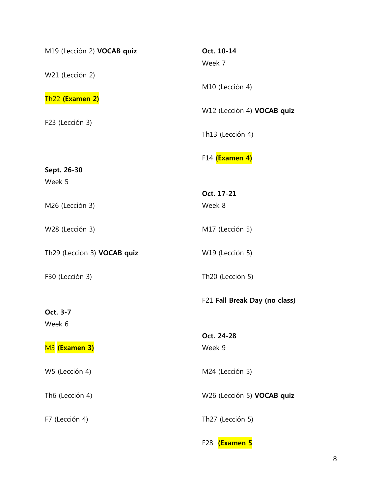| M19 (Lección 2) VOCAB quiz  | Oct. 10-14<br>Week 7                |
|-----------------------------|-------------------------------------|
| W21 (Lección 2)             | M10 (Lección 4)                     |
| Th <sub>22</sub> (Examen 2) | W12 (Lección 4) VOCAB quiz          |
| F23 (Lección 3)             | Th13 (Lección 4)                    |
|                             | F14 (Examen 4)                      |
| Sept. 26-30<br>Week 5       |                                     |
|                             | Oct. 17-21                          |
| M26 (Lección 3)             | Week 8                              |
| W28 (Lección 3)             | M17 (Lección 5)                     |
| Th29 (Lección 3) VOCAB quiz | W19 (Lección 5)                     |
| F30 (Lección 3)             | Th20 (Lección 5)                    |
|                             | F21 Fall Break Day (no class)       |
| Oct. 3-7                    |                                     |
| Week 6                      |                                     |
|                             | Oct. 24-28                          |
| M <sub>3</sub> (Examen 3)   | Week 9                              |
| W5 (Lección 4)              | M24 (Lección 5)                     |
| Th6 (Lección 4)             | W26 (Lección 5) VOCAB quiz          |
| F7 (Lección 4)              | Th27 (Lección 5)                    |
|                             | <b>(Examen 5</b><br>F <sub>28</sub> |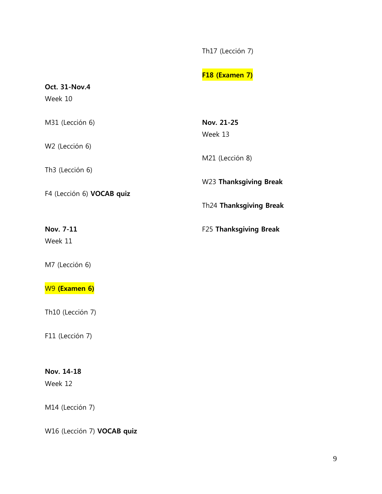Th17 (Lección 7)

# **F18 (Examen 7)**

# **Oct. 31-Nov.4** Week 10 M31 (Lección 6) W2 (Lección 6) Th3 (Lección 6) F4 (Lección 6) **VOCAB quiz Nov. 7-11** Week 11 M7 (Lección 6) W9 **(Examen 6)** Th10 (Lección 7) **Nov. 21-25** Week 13 M21 (Lección 8) W23 **Thanksgiving Break**  Th24 **Thanksgiving Break** F25 **Thanksgiving Break**

F11 (Lección 7)

## **Nov. 14-18**

Week 12

M14 (Lección 7)

W16 (Lección 7) **VOCAB quiz**